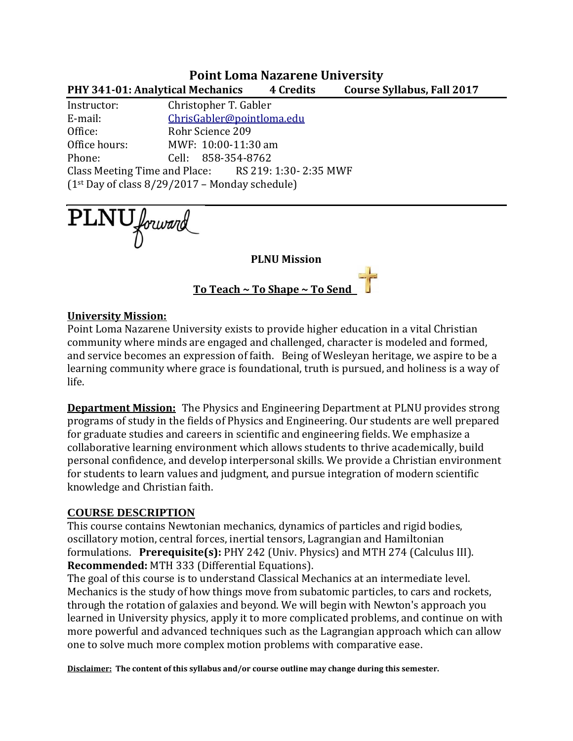### **Point Loma Nazarene University PHY 341-01: Analytical Mechanics 4 Credits Course Syllabus, Fall 2017**

Instructor: Christopher T. Gabler E-mail: [ChrisGabler@pointloma.edu](mailto:ChrisGabler@pointloma.edu) Office: Rohr Science 209 Office hours: MWF: 10:00-11:30 am Phone: Cell: 858-354-8762 Class Meeting Time and Place: RS 219: 1:30- 2:35 MWF  $(1<sup>st</sup>$  Day of class 8/29/2017 – Monday schedule)

PLNU forward

**PLNU Mission**

**To Teach ~ To Shape ~ To Send** 

#### **University Mission:**

Point Loma Nazarene University exists to provide higher education in a vital Christian community where minds are engaged and challenged, character is modeled and formed, and service becomes an expression of faith. Being of Wesleyan heritage, we aspire to be a learning community where grace is foundational, truth is pursued, and holiness is a way of life.

**Department Mission:** The Physics and Engineering Department at PLNU provides strong programs of study in the fields of Physics and Engineering. Our students are well prepared for graduate studies and careers in scientific and engineering fields. We emphasize a collaborative learning environment which allows students to thrive academically, build personal confidence, and develop interpersonal skills. We provide a Christian environment for students to learn values and judgment, and pursue integration of modern scientific knowledge and Christian faith.

#### **COURSE DESCRIPTION**

This course contains Newtonian mechanics, dynamics of particles and rigid bodies, oscillatory motion, central forces, inertial tensors, Lagrangian and Hamiltonian formulations. **Prerequisite(s):** PHY 242 (Univ. Physics) and MTH 274 (Calculus III). **Recommended:** MTH 333 (Differential Equations).

The goal of this course is to understand Classical Mechanics at an intermediate level. Mechanics is the study of how things move from subatomic particles, to cars and rockets, through the rotation of galaxies and beyond. We will begin with Newton's approach you learned in University physics, apply it to more complicated problems, and continue on with more powerful and advanced techniques such as the Lagrangian approach which can allow one to solve much more complex motion problems with comparative ease.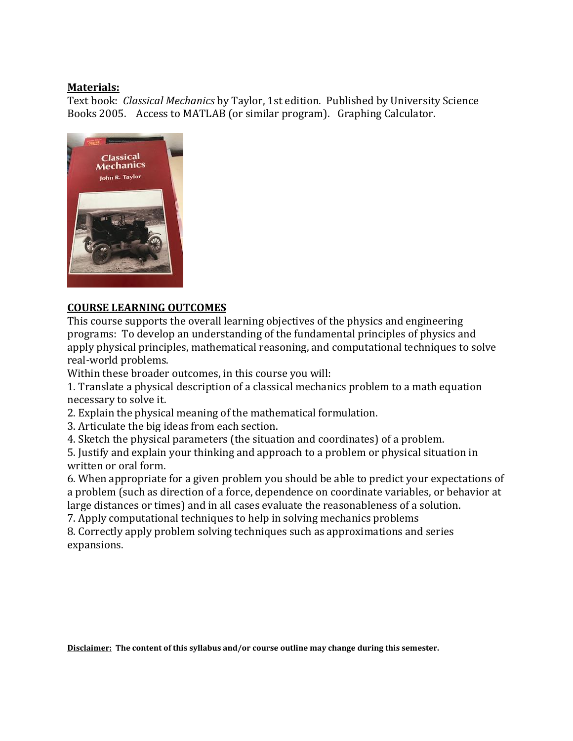#### **Materials:**

Text book: *Classical Mechanics* by Taylor, 1st edition. Published by University Science Books 2005. Access to MATLAB (or similar program). Graphing Calculator.



### **COURSE LEARNING OUTCOMES**

This course supports the overall learning objectives of the physics and engineering programs: To develop an understanding of the fundamental principles of physics and apply physical principles, mathematical reasoning, and computational techniques to solve real-world problems.

Within these broader outcomes, in this course you will:

1. Translate a physical description of a classical mechanics problem to a math equation necessary to solve it.

2. Explain the physical meaning of the mathematical formulation.

3. Articulate the big ideas from each section.

4. Sketch the physical parameters (the situation and coordinates) of a problem.

5. Justify and explain your thinking and approach to a problem or physical situation in written or oral form.

6. When appropriate for a given problem you should be able to predict your expectations of a problem (such as direction of a force, dependence on coordinate variables, or behavior at large distances or times) and in all cases evaluate the reasonableness of a solution.

7. Apply computational techniques to help in solving mechanics problems

8. Correctly apply problem solving techniques such as approximations and series expansions.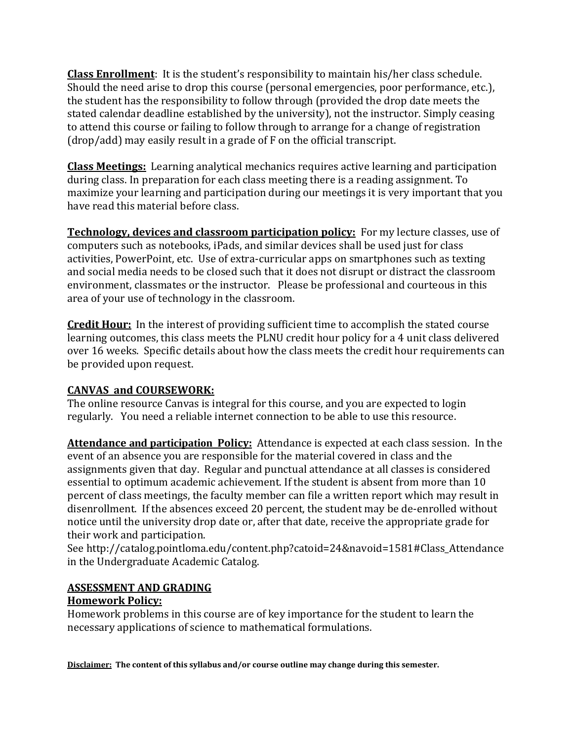**Class Enrollment**: It is the student's responsibility to maintain his/her class schedule. Should the need arise to drop this course (personal emergencies, poor performance, etc.), the student has the responsibility to follow through (provided the drop date meets the stated calendar deadline established by the university), not the instructor. Simply ceasing to attend this course or failing to follow through to arrange for a change of registration (drop/add) may easily result in a grade of F on the official transcript.

**Class Meetings:** Learning analytical mechanics requires active learning and participation during class. In preparation for each class meeting there is a reading assignment. To maximize your learning and participation during our meetings it is very important that you have read this material before class.

**Technology, devices and classroom participation policy:** For my lecture classes, use of computers such as notebooks, iPads, and similar devices shall be used just for class activities, PowerPoint, etc. Use of extra-curricular apps on smartphones such as texting and social media needs to be closed such that it does not disrupt or distract the classroom environment, classmates or the instructor. Please be professional and courteous in this area of your use of technology in the classroom.

**Credit Hour:** In the interest of providing sufficient time to accomplish the stated course learning outcomes, this class meets the PLNU credit hour policy for a 4 unit class delivered over 16 weeks. Specific details about how the class meets the credit hour requirements can be provided upon request.

### **CANVAS and COURSEWORK:**

The online resource Canvas is integral for this course, and you are expected to login regularly. You need a reliable internet connection to be able to use this resource.

**Attendance and participation Policy:** Attendance is expected at each class session. In the event of an absence you are responsible for the material covered in class and the assignments given that day. Regular and punctual attendance at all classes is considered essential to optimum academic achievement. If the student is absent from more than 10 percent of class meetings, the faculty member can file a written report which may result in disenrollment. If the absences exceed 20 percent, the student may be de-enrolled without notice until the university drop date or, after that date, receive the appropriate grade for their work and participation.

See http://catalog.pointloma.edu/content.php?catoid=24&navoid=1581#Class\_Attendance in the Undergraduate Academic Catalog.

#### **ASSESSMENT AND GRADING**

### **Homework Policy:**

Homework problems in this course are of key importance for the student to learn the necessary applications of science to mathematical formulations.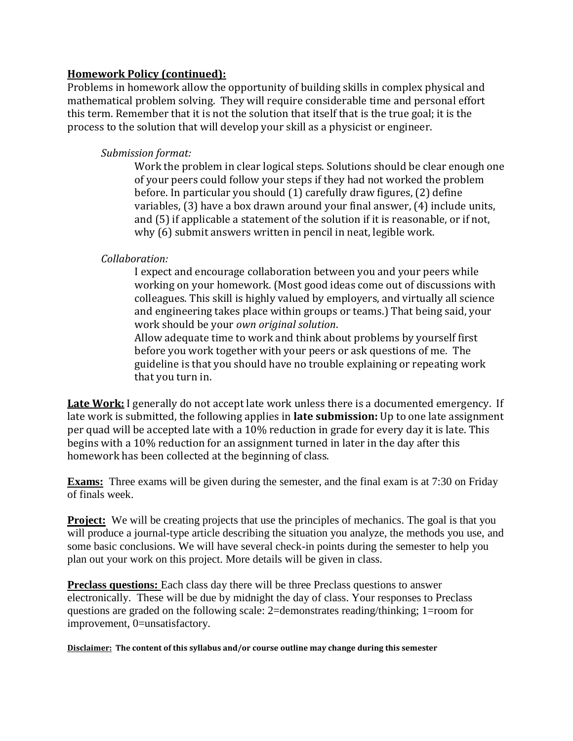#### **Homework Policy (continued):**

Problems in homework allow the opportunity of building skills in complex physical and mathematical problem solving. They will require considerable time and personal effort this term. Remember that it is not the solution that itself that is the true goal; it is the process to the solution that will develop your skill as a physicist or engineer.

#### *Submission format:*

Work the problem in clear logical steps. Solutions should be clear enough one of your peers could follow your steps if they had not worked the problem before. In particular you should (1) carefully draw figures, (2) define variables, (3) have a box drawn around your final answer, (4) include units, and (5) if applicable a statement of the solution if it is reasonable, or if not, why (6) submit answers written in pencil in neat, legible work.

### *Collaboration:*

I expect and encourage collaboration between you and your peers while working on your homework. (Most good ideas come out of discussions with colleagues. This skill is highly valued by employers, and virtually all science and engineering takes place within groups or teams.) That being said, your work should be your *own original solution*.

Allow adequate time to work and think about problems by yourself first before you work together with your peers or ask questions of me. The guideline is that you should have no trouble explaining or repeating work that you turn in.

Late Work: I generally do not accept late work unless there is a documented emergency. If late work is submitted, the following applies in **late submission:** Up to one late assignment per quad will be accepted late with a 10% reduction in grade for every day it is late. This begins with a 10% reduction for an assignment turned in later in the day after this homework has been collected at the beginning of class.

**Exams:** Three exams will be given during the semester, and the final exam is at 7:30 on Friday of finals week.

**Project:** We will be creating projects that use the principles of mechanics. The goal is that you will produce a journal-type article describing the situation you analyze, the methods you use, and some basic conclusions. We will have several check-in points during the semester to help you plan out your work on this project. More details will be given in class.

**Preclass questions:** Each class day there will be three Preclass questions to answer electronically. These will be due by midnight the day of class. Your responses to Preclass questions are graded on the following scale: 2=demonstrates reading/thinking; 1=room for improvement, 0=unsatisfactory.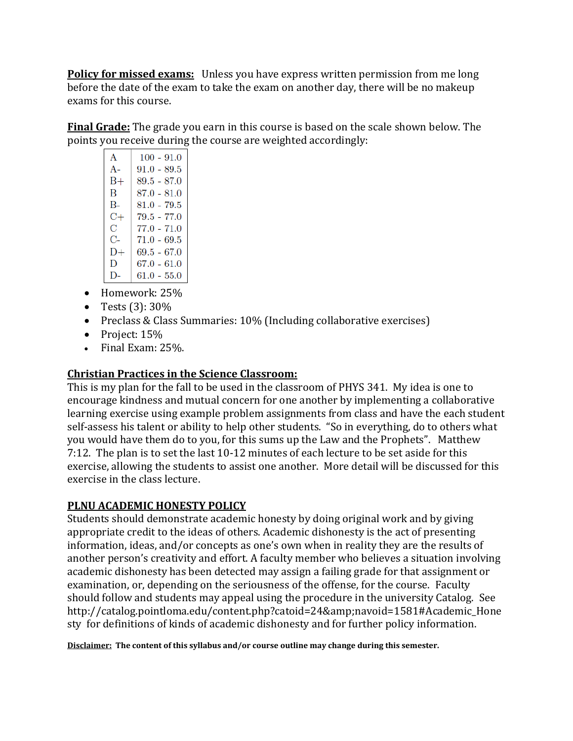**Policy for missed exams:** Unless you have express written permission from me long before the date of the exam to take the exam on another day, there will be no makeup exams for this course.

**Final Grade:** The grade you earn in this course is based on the scale shown below. The points you receive during the course are weighted accordingly:

| A      | $100 - 91.0$  |
|--------|---------------|
| $A -$  | $91.0 - 89.5$ |
| B+     | 89.5 - 87.0   |
| B      | $87.0 - 81.0$ |
| $B -$  | $81.0 - 79.5$ |
| C+     | $79.5 - 77.0$ |
| С      | 77.0 - 71.0   |
| C-     | $71.0 - 69.5$ |
| D+     | 69.5 - 67.0   |
| Ð      | 67.0 - 61.0   |
| $1$ ). | $61.0 - 55.0$ |

- Homework: 25%
- Tests  $(3)$ : 30%
- Preclass & Class Summaries: 10% (Including collaborative exercises)
- Project: 15%
- Final Exam: 25%**.**

### **Christian Practices in the Science Classroom:**

This is my plan for the fall to be used in the classroom of PHYS 341. My idea is one to encourage kindness and mutual concern for one another by implementing a collaborative learning exercise using example problem assignments from class and have the each student self-assess his talent or ability to help other students. "So in everything, do to others what you would have them do to you, for this sums up the Law and the Prophets". Matthew 7:12. The plan is to set the last 10-12 minutes of each lecture to be set aside for this exercise, allowing the students to assist one another. More detail will be discussed for this exercise in the class lecture.

# **PLNU ACADEMIC HONESTY POLICY**

Students should demonstrate academic honesty by doing original work and by giving appropriate credit to the ideas of others. Academic dishonesty is the act of presenting information, ideas, and/or concepts as one's own when in reality they are the results of another person's creativity and effort. A faculty member who believes a situation involving academic dishonesty has been detected may assign a failing grade for that assignment or examination, or, depending on the seriousness of the offense, for the course. Faculty should follow and students may appeal using the procedure in the university Catalog. See http://catalog.pointloma.edu/content.php?catoid=24&navoid=1581#Academic\_Hone sty for definitions of kinds of academic dishonesty and for further policy information.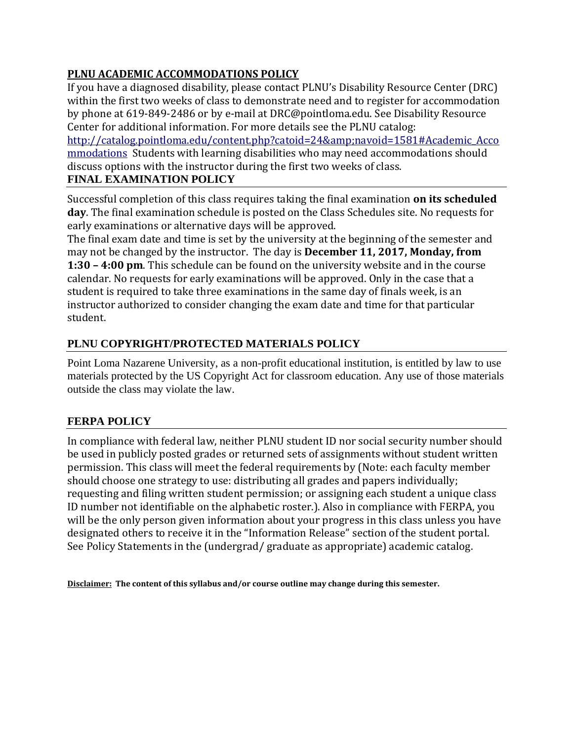# **PLNU ACADEMIC ACCOMMODATIONS POLICY**

If you have a diagnosed disability, please contact PLNU's Disability Resource Center (DRC) within the first two weeks of class to demonstrate need and to register for accommodation by phone at 619-849-2486 or by e-mail at DRC@pointloma.edu. See Disability Resource Center for additional information. For more details see the PLNU catalog:

[http://catalog.pointloma.edu/content.php?catoid=24&navoid=1581#Academic\\_Acco](http://catalog.pointloma.edu/content.php?catoid=24&navoid=1581#Academic_Accommodations) [mmodations](http://catalog.pointloma.edu/content.php?catoid=24&navoid=1581#Academic_Accommodations) Students with learning disabilities who may need accommodations should discuss options with the instructor during the first two weeks of class.

### **FINAL EXAMINATION POLICY**

Successful completion of this class requires taking the final examination **on its scheduled day**. The final examination schedule is posted on the Class Schedules site. No requests for early examinations or alternative days will be approved.

The final exam date and time is set by the university at the beginning of the semester and may not be changed by the instructor. The day is **December 11, 2017, Monday, from 1:30 – 4:00 pm**. This schedule can be found on the university website and in the course calendar. No requests for early examinations will be approved. Only in the case that a student is required to take three examinations in the same day of finals week, is an instructor authorized to consider changing the exam date and time for that particular student.

# **PLNU COPYRIGHT/PROTECTED MATERIALS POLICY**

Point Loma Nazarene University, as a non-profit educational institution, is entitled by law to use materials protected by the US Copyright Act for classroom education. Any use of those materials outside the class may violate the law.

# **FERPA POLICY**

In compliance with federal law, neither PLNU student ID nor social security number should be used in publicly posted grades or returned sets of assignments without student written permission. This class will meet the federal requirements by (Note: each faculty member should choose one strategy to use: distributing all grades and papers individually; requesting and filing written student permission; or assigning each student a unique class ID number not identifiable on the alphabetic roster.). Also in compliance with FERPA, you will be the only person given information about your progress in this class unless you have designated others to receive it in the "Information Release" section of the student portal. See Policy Statements in the (undergrad/ graduate as appropriate) academic catalog.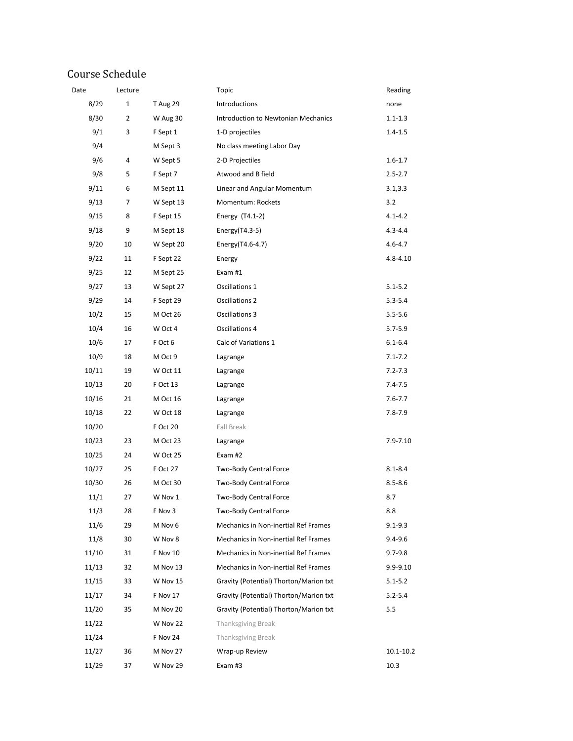# Course Schedule

| Date  | Lecture |                 | Topic                                  | Reading      |
|-------|---------|-----------------|----------------------------------------|--------------|
| 8/29  | 1       | <b>T</b> Aug 29 | Introductions                          | none         |
| 8/30  | 2       | W Aug 30        | Introduction to Newtonian Mechanics    | $1.1 - 1.3$  |
| 9/1   | 3       | F Sept 1        | 1-D projectiles                        | $1.4 - 1.5$  |
| 9/4   |         | M Sept 3        | No class meeting Labor Day             |              |
| 9/6   | 4       | W Sept 5        | 2-D Projectiles                        | $1.6 - 1.7$  |
| 9/8   | 5       | F Sept 7        | Atwood and B field                     | $2.5 - 2.7$  |
| 9/11  | 6       | M Sept 11       | Linear and Angular Momentum            | 3.1, 3.3     |
| 9/13  | 7       | W Sept 13       | Momentum: Rockets                      | 3.2          |
| 9/15  | 8       | F Sept 15       | Energy (T4.1-2)                        | $4.1 - 4.2$  |
| 9/18  | 9       | M Sept 18       | Energy $(T4.3-5)$                      | $4.3 - 4.4$  |
| 9/20  | 10      | W Sept 20       | Energy(T4.6-4.7)                       | $4.6 - 4.7$  |
| 9/22  | 11      | F Sept 22       | Energy                                 | $4.8 - 4.10$ |
| 9/25  | 12      | M Sept 25       | Exam #1                                |              |
| 9/27  | 13      | W Sept 27       | Oscillations 1                         | $5.1 - 5.2$  |
| 9/29  | 14      | F Sept 29       | Oscillations 2                         | $5.3 - 5.4$  |
| 10/2  | 15      | M Oct 26        | Oscillations 3                         | $5.5 - 5.6$  |
| 10/4  | 16      | W Oct 4         | Oscillations 4                         | $5.7 - 5.9$  |
| 10/6  | 17      | F Oct 6         | Calc of Variations 1                   | $6.1 - 6.4$  |
| 10/9  | 18      | M Oct 9         | Lagrange                               | $7.1 - 7.2$  |
| 10/11 | 19      | W Oct 11        | Lagrange                               | $7.2 - 7.3$  |
| 10/13 | 20      | F Oct 13        | Lagrange                               | $7.4 - 7.5$  |
| 10/16 | 21      | M Oct 16        | Lagrange                               | $7.6 - 7.7$  |
| 10/18 | 22      | W Oct 18        | Lagrange                               | $7.8 - 7.9$  |
| 10/20 |         | F Oct 20        | Fall Break                             |              |
| 10/23 | 23      | M Oct 23        | Lagrange                               | 7.9-7.10     |
| 10/25 | 24      | W Oct 25        | Exam #2                                |              |
| 10/27 | 25      | F Oct 27        | Two-Body Central Force                 | $8.1 - 8.4$  |
| 10/30 | 26      | M Oct 30        | Two-Body Central Force                 | $8.5 - 8.6$  |
| 11/1  | 27      | W Nov 1         | Two-Body Central Force                 | 8.7          |
| 11/3  | 28      | F Nov 3         | Two-Body Central Force                 | 8.8          |
| 11/6  | 29      | M Nov 6         | Mechanics in Non-inertial Ref Frames   | $9.1 - 9.3$  |
| 11/8  | 30      | W Nov 8         | Mechanics in Non-inertial Ref Frames   | 9.4-9.6      |
| 11/10 | 31      | F Nov 10        | Mechanics in Non-inertial Ref Frames   | $9.7 - 9.8$  |
| 11/13 | 32      | M Nov 13        | Mechanics in Non-inertial Ref Frames   | 9.9-9.10     |
| 11/15 | 33      | W Nov 15        | Gravity (Potential) Thorton/Marion txt | $5.1 - 5.2$  |
| 11/17 | 34      | F Nov 17        | Gravity (Potential) Thorton/Marion txt | $5.2 - 5.4$  |
| 11/20 | 35      | M Nov 20        | Gravity (Potential) Thorton/Marion txt | 5.5          |
| 11/22 |         | W Nov 22        | Thanksgiving Break                     |              |
| 11/24 |         | F Nov 24        | Thanksgiving Break                     |              |
| 11/27 | 36      | M Nov 27        | Wrap-up Review                         | 10.1-10.2    |
| 11/29 | 37      | W Nov 29        | Exam #3                                | 10.3         |